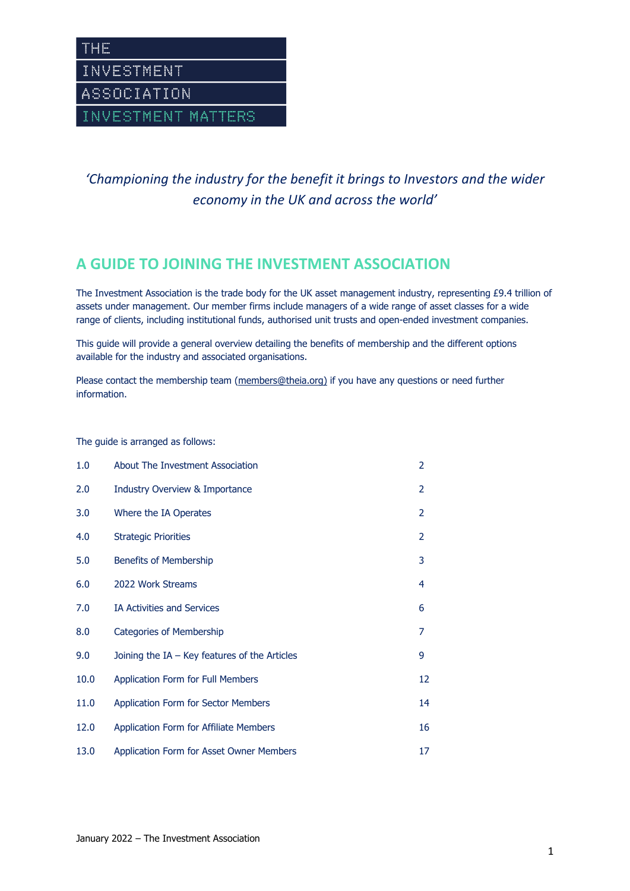*'Championing the industry for the benefit it brings to Investors and the wider economy in the UK and across the world'*

## **A GUIDE TO JOINING THE INVESTMENT ASSOCIATION**

The Investment Association is the trade body for the UK asset management industry, representing £9.4 trillion of assets under management. Our member firms include managers of a wide range of asset classes for a wide range of clients, including institutional funds, authorised unit trusts and open-ended investment companies.

This guide will provide a general overview detailing the benefits of membership and the different options available for the industry and associated organisations.

Please contact the membership team [\(members@theia.org\)](mailto:members@theia.org) if you have any questions or need further information.

The guide is arranged as follows:

| 1.0  | About The Investment Association                | $\overline{2}$ |
|------|-------------------------------------------------|----------------|
| 2.0  | <b>Industry Overview &amp; Importance</b>       | 2              |
| 3.0  | Where the IA Operates                           | 2              |
| 4.0  | <b>Strategic Priorities</b>                     | 2              |
| 5.0  | <b>Benefits of Membership</b>                   | 3              |
| 6.0  | 2022 Work Streams                               | 4              |
| 7.0  | <b>IA Activities and Services</b>               | 6              |
| 8.0  | Categories of Membership                        | 7              |
| 9.0  | Joining the $IA - Key$ features of the Articles | 9              |
| 10.0 | <b>Application Form for Full Members</b>        | 12             |
| 11.0 | Application Form for Sector Members             | 14             |
| 12.0 | <b>Application Form for Affiliate Members</b>   | 16             |
| 13.0 | Application Form for Asset Owner Members        | 17             |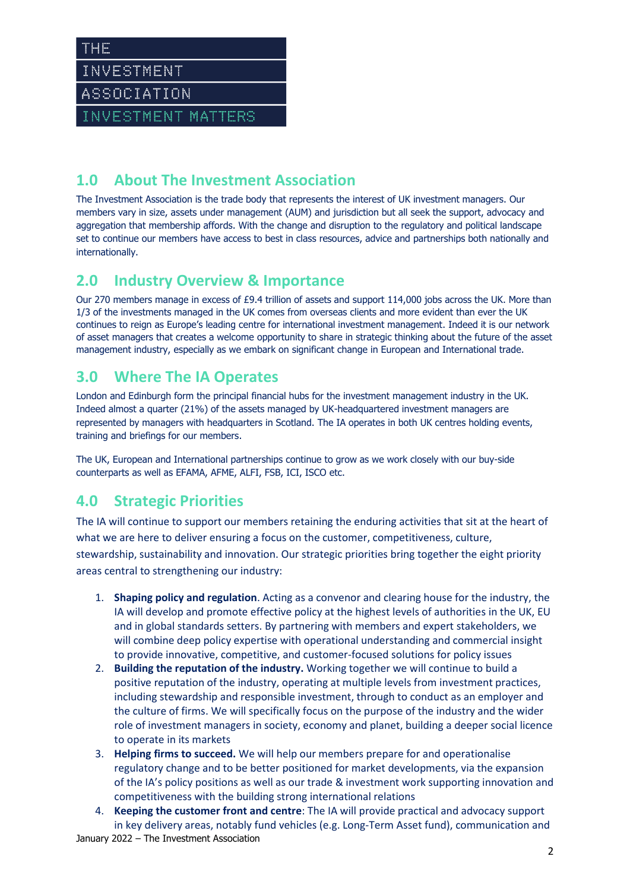INVESTMENT

THE

ASSOCIATION

INVESTMENT MATTERS

# **1.0 About The Investment Association**

The Investment Association is the trade body that represents the interest of UK investment managers. Our members vary in size, assets under management (AUM) and jurisdiction but all seek the support, advocacy and aggregation that membership affords. With the change and disruption to the regulatory and political landscape set to continue our members have access to best in class resources, advice and partnerships both nationally and internationally.

## **2.0 Industry Overview & Importance**

Our 270 members manage in excess of £9.4 trillion of assets and support 114,000 jobs across the UK. More than 1/3 of the investments managed in the UK comes from overseas clients and more evident than ever the UK continues to reign as Europe's leading centre for international investment management. Indeed it is our network of asset managers that creates a welcome opportunity to share in strategic thinking about the future of the asset management industry, especially as we embark on significant change in European and International trade.

## **3.0 Where The IA Operates**

London and Edinburgh form the principal financial hubs for the investment management industry in the UK. Indeed almost a quarter (21%) of the assets managed by UK-headquartered investment managers are represented by managers with headquarters in Scotland. The IA operates in both UK centres holding events, training and briefings for our members.

The UK, European and International partnerships continue to grow as we work closely with our buy-side counterparts as well as EFAMA, AFME, ALFI, FSB, ICI, ISCO etc.

# **4.0 Strategic Priorities**

The IA will continue to support our members retaining the enduring activities that sit at the heart of what we are here to deliver ensuring a focus on the customer, competitiveness, culture, stewardship, sustainability and innovation. Our strategic priorities bring together the eight priority areas central to strengthening our industry:

- 1. **Shaping policy and regulation**. Acting as a convenor and clearing house for the industry, the IA will develop and promote effective policy at the highest levels of authorities in the UK, EU and in global standards setters. By partnering with members and expert stakeholders, we will combine deep policy expertise with operational understanding and commercial insight to provide innovative, competitive, and customer-focused solutions for policy issues
- 2. **Building the reputation of the industry.** Working together we will continue to build a positive reputation of the industry, operating at multiple levels from investment practices, including stewardship and responsible investment, through to conduct as an employer and the culture of firms. We will specifically focus on the purpose of the industry and the wider role of investment managers in society, economy and planet, building a deeper social licence to operate in its markets
- 3. **Helping firms to succeed.** We will help our members prepare for and operationalise regulatory change and to be better positioned for market developments, via the expansion of the IA's policy positions as well as our trade & investment work supporting innovation and competitiveness with the building strong international relations
- January 2022 The Investment Association 4. **Keeping the customer front and centre**: The IA will provide practical and advocacy support in key delivery areas, notably fund vehicles (e.g. Long-Term Asset fund), communication and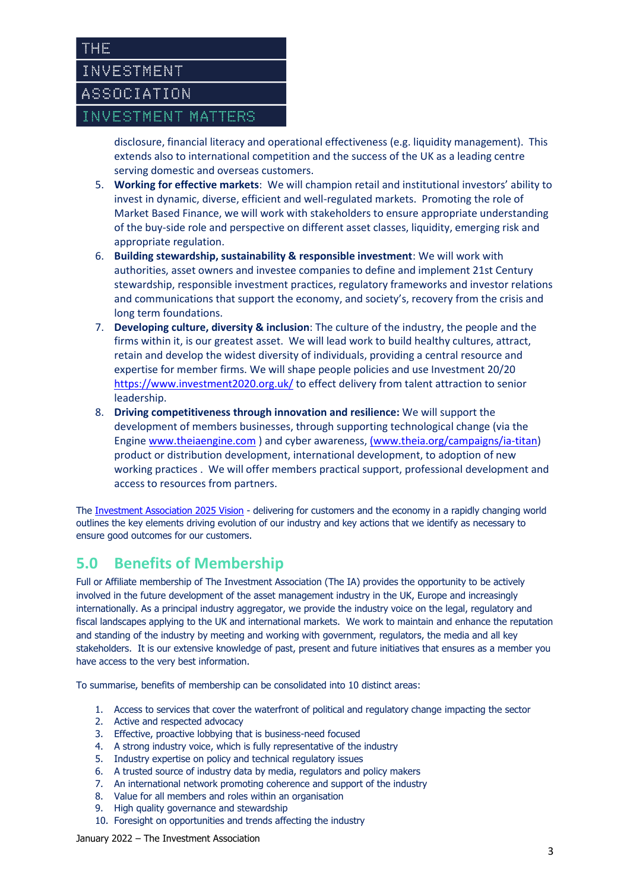

disclosure, financial literacy and operational effectiveness (e.g. liquidity management). This extends also to international competition and the success of the UK as a leading centre serving domestic and overseas customers.

- 5. **Working for effective markets**: We will champion retail and institutional investors' ability to invest in dynamic, diverse, efficient and well-regulated markets. Promoting the role of Market Based Finance, we will work with stakeholders to ensure appropriate understanding of the buy-side role and perspective on different asset classes, liquidity, emerging risk and appropriate regulation.
- 6. **Building stewardship, sustainability & responsible investment**: We will work with authorities, asset owners and investee companies to define and implement 21st Century stewardship, responsible investment practices, regulatory frameworks and investor relations and communications that support the economy, and society's, recovery from the crisis and long term foundations.
- 7. **Developing culture, diversity & inclusion**: The culture of the industry, the people and the firms within it, is our greatest asset. We will lead work to build healthy cultures, attract, retain and develop the widest diversity of individuals, providing a central resource and expertise for member firms. We will shape people policies and use Investment 20/20 <https://www.investment2020.org.uk/> to effect delivery from talent attraction to senior leadership.
- 8. **Driving competitiveness through innovation and resilience:** We will support the development of members businesses, through supporting technological change (via the Engin[e www.theiaengine.com](http://www.theiaengine.com/) ) and cyber awareness[, \(www.theia.org/campaigns/ia-titan\)](http://(www.theia.org/campaigns/ia-titan) product or distribution development, international development, to adoption of new working practices . We will offer members practical support, professional development and access to resources from partners.

The [Investment Association 2025 Vision](https://www.theia.org/sites/default/files/2019-06/PolicyPaper-June2019.pdf) - delivering for customers and the economy in a rapidly changing world outlines the key elements driving evolution of our industry and key actions that we identify as necessary to ensure good outcomes for our customers.

# **5.0 Benefits of Membership**

Full or Affiliate membership of The Investment Association (The IA) provides the opportunity to be actively involved in the future development of the asset management industry in the UK, Europe and increasingly internationally. As a principal industry aggregator, we provide the industry voice on the legal, regulatory and fiscal landscapes applying to the UK and international markets. We work to maintain and enhance the reputation and standing of the industry by meeting and working with government, regulators, the media and all key stakeholders. It is our extensive knowledge of past, present and future initiatives that ensures as a member you have access to the very best information.

To summarise, benefits of membership can be consolidated into 10 distinct areas:

- 1. Access to services that cover the waterfront of political and regulatory change impacting the sector
- 2. Active and respected advocacy
- 3. Effective, proactive lobbying that is business-need focused
- 4. A strong industry voice, which is fully representative of the industry
- 5. Industry expertise on policy and technical regulatory issues
- 6. A trusted source of industry data by media, regulators and policy makers
- 7. An international network promoting coherence and support of the industry
- 8. Value for all members and roles within an organisation
- 9. High quality governance and stewardship
- 10. Foresight on opportunities and trends affecting the industry

January 2022 – The Investment Association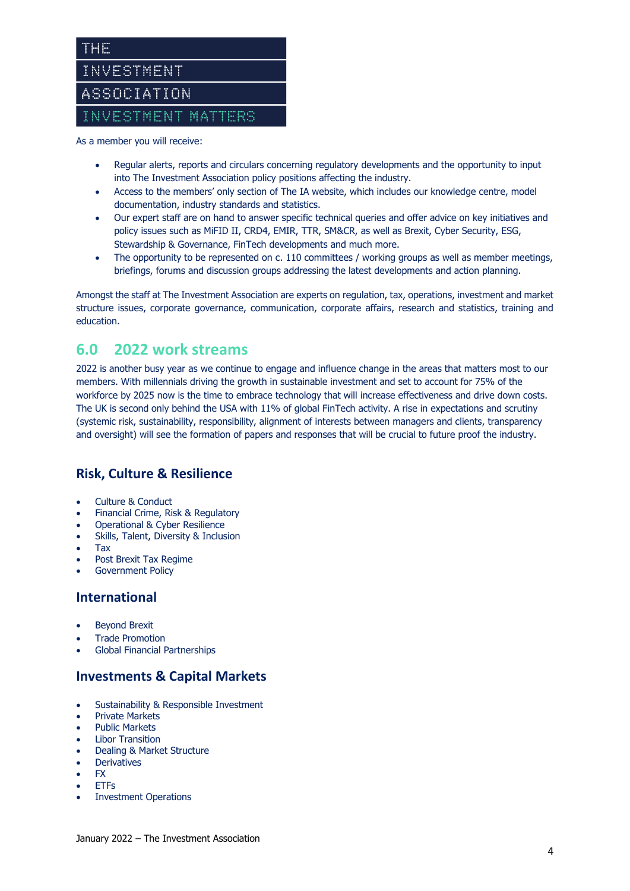

As a member you will receive:

- Regular alerts, reports and circulars concerning regulatory developments and the opportunity to input into The Investment Association policy positions affecting the industry.
- Access to the members' only section of The IA website, which includes our knowledge centre, model documentation, industry standards and statistics.
- Our expert staff are on hand to answer specific technical queries and offer advice on key initiatives and policy issues such as MiFID II, CRD4, EMIR, TTR, SM&CR, as well as Brexit, Cyber Security, ESG, Stewardship & Governance, FinTech developments and much more.
- The opportunity to be represented on c. 110 committees / working groups as well as member meetings, briefings, forums and discussion groups addressing the latest developments and action planning.

Amongst the staff at The Investment Association are experts on regulation, tax, operations, investment and market structure issues, corporate governance, communication, corporate affairs, research and statistics, training and education.

## **6.0 2022 work streams**

2022 is another busy year as we continue to engage and influence change in the areas that matters most to our members. With millennials driving the growth in sustainable investment and set to account for 75% of the workforce by 2025 now is the time to embrace technology that will increase effectiveness and drive down costs. The UK is second only behind the USA with 11% of global FinTech activity. A rise in expectations and scrutiny (systemic risk, sustainability, responsibility, alignment of interests between managers and clients, transparency and oversight) will see the formation of papers and responses that will be crucial to future proof the industry.

## **Risk, Culture & Resilience**

- Culture & Conduct
- Financial Crime, Risk & Regulatory
- Operational & Cyber Resilience
- Skills, Talent, Diversity & Inclusion
- Tax
- Post Brexit Tax Regime
- Government Policy

### **International**

- Beyond Brexit
- Trade Promotion
- Global Financial Partnerships

### **Investments & Capital Markets**

- Sustainability & Responsible Investment
- Private Markets
- Public Markets
- **Libor Transition**
- Dealing & Market Structure
- **Derivatives**
- FX
- ETFs
- Investment Operations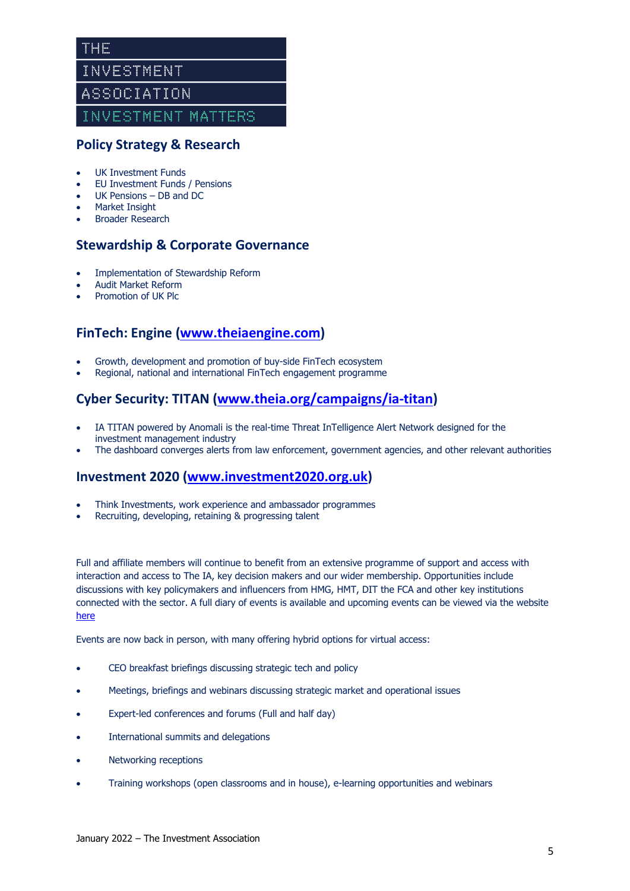## **Policy Strategy & Research**

- UK Investment Funds
- EU Investment Funds / Pensions
- UK Pensions DB and DC
- Market Insight
- Broader Research

### **Stewardship & Corporate Governance**

- Implementation of Stewardship Reform
- Audit Market Reform
- Promotion of UK Plc

## **FinTech: Engine [\(www.theiaengine.com\)](http://www.theiaengine.com/)**

- Growth, development and promotion of buy-side FinTech ecosystem
- Regional, national and international FinTech engagement programme

## **Cyber Security: TITAN [\(www.theia.org/campaigns/ia-titan\)](http://www.theia.org/campaigns/ia-titan)**

- IA TITAN powered by Anomali is the real-time Threat InTelligence Alert Network designed for the investment management industry
- The dashboard converges alerts from law enforcement, government agencies, and other relevant authorities

### **Investment 2020 [\(www.investment2020.org.uk\)](http://www.investment2020.org.uk/)**

- Think Investments, work experience and ambassador programmes
- Recruiting, developing, retaining & progressing talent

Full and affiliate members will continue to benefit from an extensive programme of support and access with interaction and access to The IA, key decision makers and our wider membership. Opportunities include discussions with key policymakers and influencers from HMG, HMT, DIT the FCA and other key institutions connected with the sector. A full diary of events is available and upcoming events can be viewed via the website [here](https://www.theia.org/events-training?1-templatecategoryid=4)

Events are now back in person, with many offering hybrid options for virtual access:

- CEO breakfast briefings discussing strategic tech and policy
- Meetings, briefings and webinars discussing strategic market and operational issues
- Expert-led conferences and forums (Full and half day)
- International summits and delegations
- Networking receptions
- Training workshops (open classrooms and in house), e-learning opportunities and webinars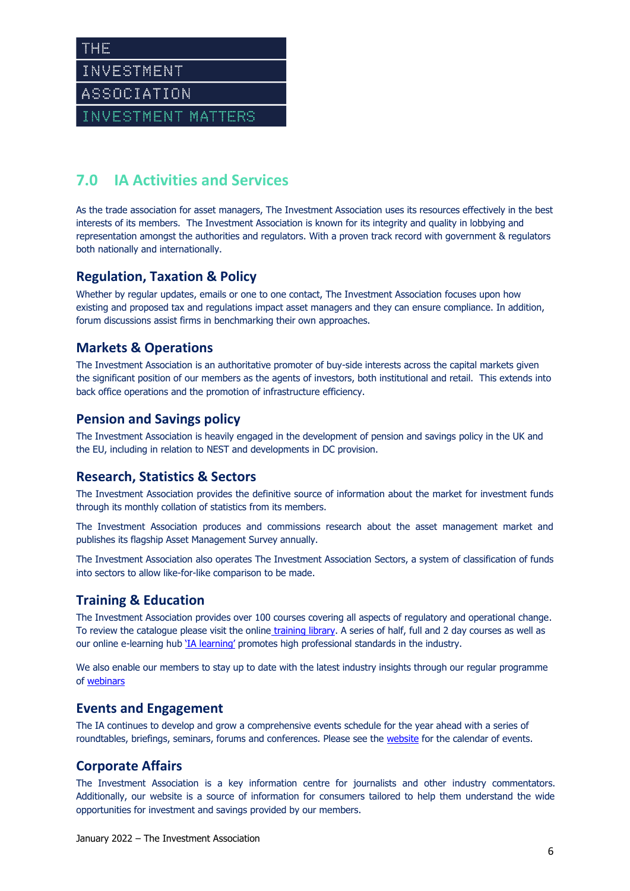## **7.0 IA Activities and Services**

As the trade association for asset managers, The Investment Association uses its resources effectively in the best interests of its members. The Investment Association is known for its integrity and quality in lobbying and representation amongst the authorities and regulators. With a proven track record with government & regulators both nationally and internationally.

## **Regulation, Taxation & Policy**

Whether by regular updates, emails or one to one contact, The Investment Association focuses upon how existing and proposed tax and regulations impact asset managers and they can ensure compliance. In addition, forum discussions assist firms in benchmarking their own approaches.

## **Markets & Operations**

The Investment Association is an authoritative promoter of buy-side interests across the capital markets given the significant position of our members as the agents of investors, both institutional and retail. This extends into back office operations and the promotion of infrastructure efficiency.

### **Pension and Savings policy**

The Investment Association is heavily engaged in the development of pension and savings policy in the UK and the EU, including in relation to NEST and developments in DC provision.

### **Research, Statistics & Sectors**

The Investment Association provides the definitive source of information about the market for investment funds through its monthly collation of statistics from its members.

The Investment Association produces and commissions research about the asset management market and publishes its flagship Asset Management Survey annually.

The Investment Association also operates The Investment Association Sectors, a system of classification of funds into sectors to allow like-for-like comparison to be made.

## **Training & Education**

The Investment Association provides over 100 courses covering all aspects of regulatory and operational change. To review the catalogue please visit the online [training library.](https://www.theia.org/events-training/training-library) A series of half, full and 2 day courses as well as our online e-learning hub ['IA learning'](https://www.theia.org/events-training/welcome-ia-learning) promotes high professional standards in the industry.

We also enable our members to stay up to date with the latest industry insights through our regular programme of [webinars](https://www.theia.org/events-training/webinars)

### **Events and Engagement**

The IA continues to develop and grow a comprehensive events schedule for the year ahead with a series of roundtables, briefings, seminars, forums and conferences. Please see the [website](https://www.theia.org/events-training?1-templatecategoryid=4) for the calendar of events.

## **Corporate Affairs**

The Investment Association is a key information centre for journalists and other industry commentators. Additionally, our website is a source of information for consumers tailored to help them understand the wide opportunities for investment and savings provided by our members.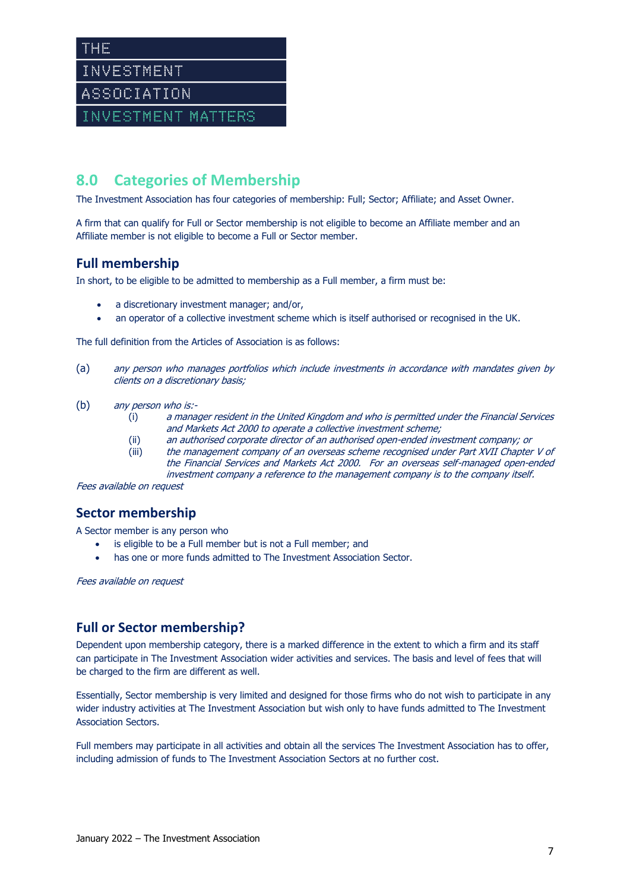THE INVESTMENT ASSOCIATION

INVESTMENT MATTERS

## **8.0 Categories of Membership**

The Investment Association has four categories of membership: Full; Sector; Affiliate; and Asset Owner.

A firm that can qualify for Full or Sector membership is not eligible to become an Affiliate member and an Affiliate member is not eligible to become a Full or Sector member.

### **Full membership**

In short, to be eligible to be admitted to membership as a Full member, a firm must be:

- a discretionary investment manager; and/or,
- an operator of a collective investment scheme which is itself authorised or recognised in the UK.

The full definition from the Articles of Association is as follows:

- (a) any person who manages portfolios which include investments in accordance with mandates given by clients on a discretionary basis;
- (b) any person who is:-
	- (i) a manager resident in the United Kingdom and who is permitted under the Financial Services and Markets Act 2000 to operate a collective investment scheme;
	- (ii) an authorised corporate director of an authorised open-ended investment company; or (iii) the management company of an overseas scheme recognised under Part XVII Chapter V of the Financial Services and Markets Act 2000. For an overseas self-managed open-ended

investment company a reference to the management company is to the company itself.

Fees available on request

## **Sector membership**

A Sector member is any person who

- is eligible to be a Full member but is not a Full member; and
- has one or more funds admitted to The Investment Association Sector.

Fees available on request

### **Full or Sector membership?**

Dependent upon membership category, there is a marked difference in the extent to which a firm and its staff can participate in The Investment Association wider activities and services. The basis and level of fees that will be charged to the firm are different as well.

Essentially, Sector membership is very limited and designed for those firms who do not wish to participate in any wider industry activities at The Investment Association but wish only to have funds admitted to The Investment Association Sectors.

Full members may participate in all activities and obtain all the services The Investment Association has to offer, including admission of funds to The Investment Association Sectors at no further cost.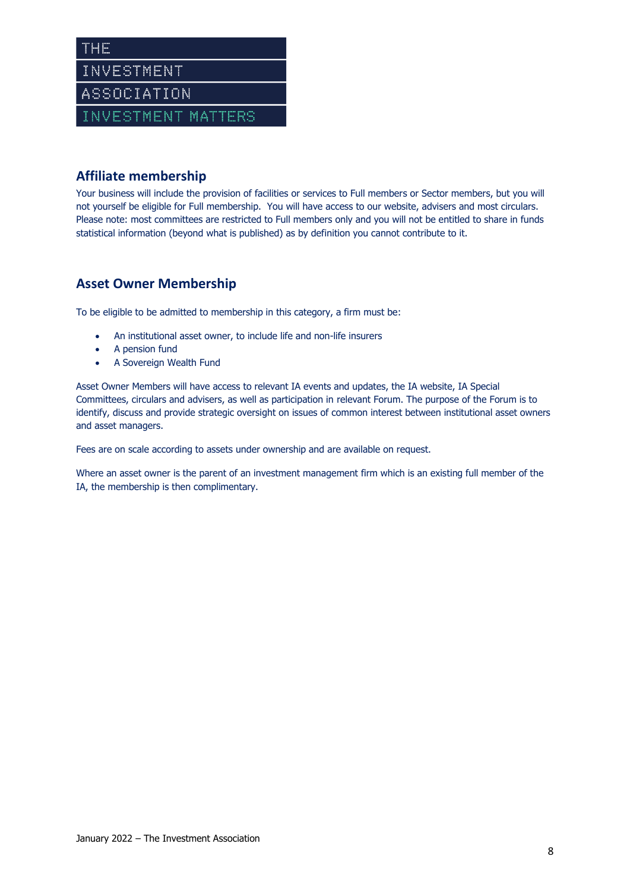## **Affiliate membership**

Your business will include the provision of facilities or services to Full members or Sector members, but you will not yourself be eligible for Full membership. You will have access to our website, advisers and most circulars. Please note: most committees are restricted to Full members only and you will not be entitled to share in funds statistical information (beyond what is published) as by definition you cannot contribute to it.

## **Asset Owner Membership**

To be eligible to be admitted to membership in this category, a firm must be:

- An institutional asset owner, to include life and non-life insurers
- A pension fund
- A Sovereign Wealth Fund

Asset Owner Members will have access to relevant IA events and updates, the IA website, IA Special Committees, circulars and advisers, as well as participation in relevant Forum. The purpose of the Forum is to identify, discuss and provide strategic oversight on issues of common interest between institutional asset owners and asset managers.

Fees are on scale according to assets under ownership and are available on request.

Where an asset owner is the parent of an investment management firm which is an existing full member of the IA, the membership is then complimentary.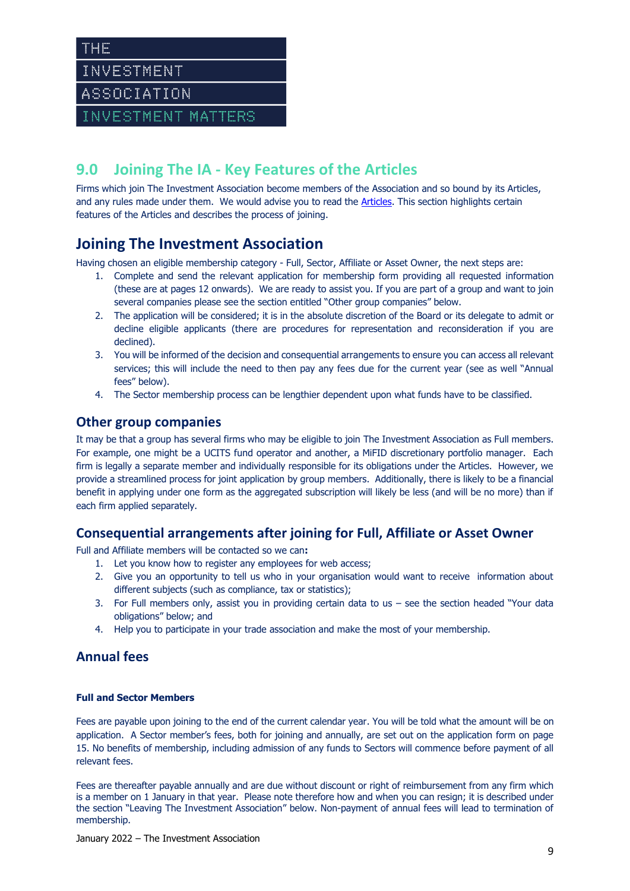INVESTMENT

THE

ASSOCIATION

INVESTMENT MATTERS

## **9.0 Joining The IA - Key Features of the Articles**

Firms which join The Investment Association become members of the Association and so bound by its Articles, and any rules made under them. We would advise you to read the [Articles.](https://www.theia.org/sites/default/files/2019-04/20190426-articlesofassociation.pdf) This section highlights certain features of the Articles and describes the process of joining.

## **Joining The Investment Association**

Having chosen an eligible membership category - Full, Sector, Affiliate or Asset Owner, the next steps are:

- 1. Complete and send the relevant application for membership form providing all requested information (these are at pages 12 onwards). We are ready to assist you. If you are part of a group and want to join several companies please see the section entitled "Other group companies" below.
- 2. The application will be considered; it is in the absolute discretion of the Board or its delegate to admit or decline eligible applicants (there are procedures for representation and reconsideration if you are declined).
- 3. You will be informed of the decision and consequential arrangements to ensure you can access all relevant services; this will include the need to then pay any fees due for the current year (see as well "Annual fees" below).
- 4. The Sector membership process can be lengthier dependent upon what funds have to be classified.

## **Other group companies**

It may be that a group has several firms who may be eligible to join The Investment Association as Full members. For example, one might be a UCITS fund operator and another, a MiFID discretionary portfolio manager. Each firm is legally a separate member and individually responsible for its obligations under the Articles. However, we provide a streamlined process for joint application by group members. Additionally, there is likely to be a financial benefit in applying under one form as the aggregated subscription will likely be less (and will be no more) than if each firm applied separately.

## **Consequential arrangements after joining for Full, Affiliate or Asset Owner**

Full and Affiliate members will be contacted so we can**:**

- 1. Let you know how to register any employees for web access;
- 2. Give you an opportunity to tell us who in your organisation would want to receive information about different subjects (such as compliance, tax or statistics);
- 3. For Full members only, assist you in providing certain data to us see the section headed "Your data obligations" below; and
- 4. Help you to participate in your trade association and make the most of your membership.

## **Annual fees**

#### **Full and Sector Members**

Fees are payable upon joining to the end of the current calendar year. You will be told what the amount will be on application. A Sector member's fees, both for joining and annually, are set out on the application form on page 15. No benefits of membership, including admission of any funds to Sectors will commence before payment of all relevant fees.

Fees are thereafter payable annually and are due without discount or right of reimbursement from any firm which is a member on 1 January in that year. Please note therefore how and when you can resign; it is described under the section "Leaving The Investment Association" below. Non-payment of annual fees will lead to termination of membership.

January 2022 – The Investment Association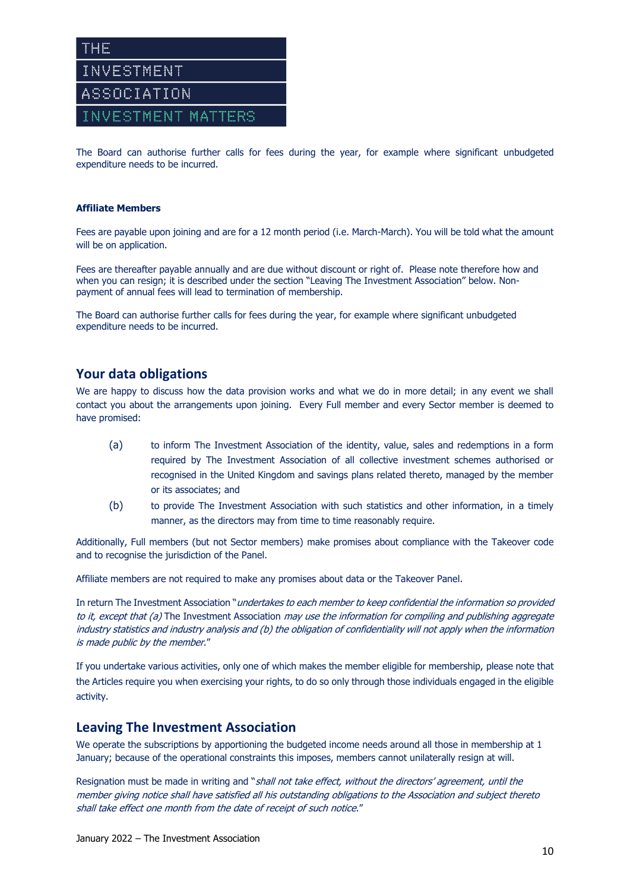

The Board can authorise further calls for fees during the year, for example where significant unbudgeted expenditure needs to be incurred.

#### **Affiliate Members**

Fees are payable upon joining and are for a 12 month period (i.e. March-March). You will be told what the amount will be on application.

Fees are thereafter payable annually and are due without discount or right of. Please note therefore how and when you can resign; it is described under the section "Leaving The Investment Association" below. Nonpayment of annual fees will lead to termination of membership.

The Board can authorise further calls for fees during the year, for example where significant unbudgeted expenditure needs to be incurred.

### **Your data obligations**

We are happy to discuss how the data provision works and what we do in more detail; in any event we shall contact you about the arrangements upon joining. Every Full member and every Sector member is deemed to have promised:

- (a) to inform The Investment Association of the identity, value, sales and redemptions in a form required by The Investment Association of all collective investment schemes authorised or recognised in the United Kingdom and savings plans related thereto, managed by the member or its associates; and
- (b) to provide The Investment Association with such statistics and other information, in a timely manner, as the directors may from time to time reasonably require.

Additionally, Full members (but not Sector members) make promises about compliance with the Takeover code and to recognise the jurisdiction of the Panel.

Affiliate members are not required to make any promises about data or the Takeover Panel.

In return The Investment Association "*undertakes to each member to keep confidential the information so provided* to it, except that (a) The Investment Association may use the information for compiling and publishing aggregate industry statistics and industry analysis and (b) the obligation of confidentiality will not apply when the information is made public by the member."

If you undertake various activities, only one of which makes the member eligible for membership, please note that the Articles require you when exercising your rights, to do so only through those individuals engaged in the eligible activity.

#### **Leaving The Investment Association**

We operate the subscriptions by apportioning the budgeted income needs around all those in membership at 1 January; because of the operational constraints this imposes, members cannot unilaterally resign at will.

Resignation must be made in writing and "shall not take effect, without the directors' agreement, until the member giving notice shall have satisfied all his outstanding obligations to the Association and subject thereto shall take effect one month from the date of receipt of such notice."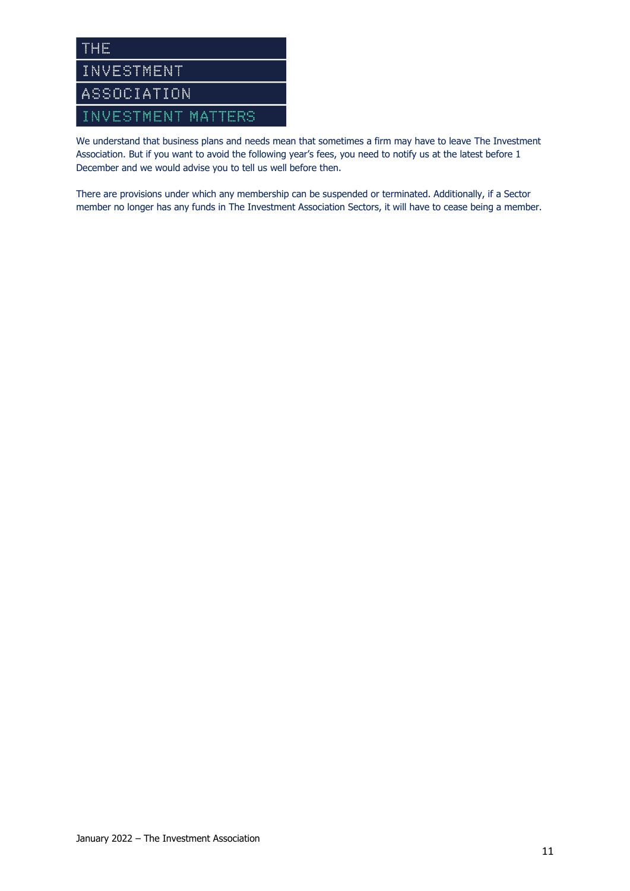

We understand that business plans and needs mean that sometimes a firm may have to leave The Investment Association. But if you want to avoid the following year's fees, you need to notify us at the latest before 1 December and we would advise you to tell us well before then.

There are provisions under which any membership can be suspended or terminated. Additionally, if a Sector member no longer has any funds in The Investment Association Sectors, it will have to cease being a member.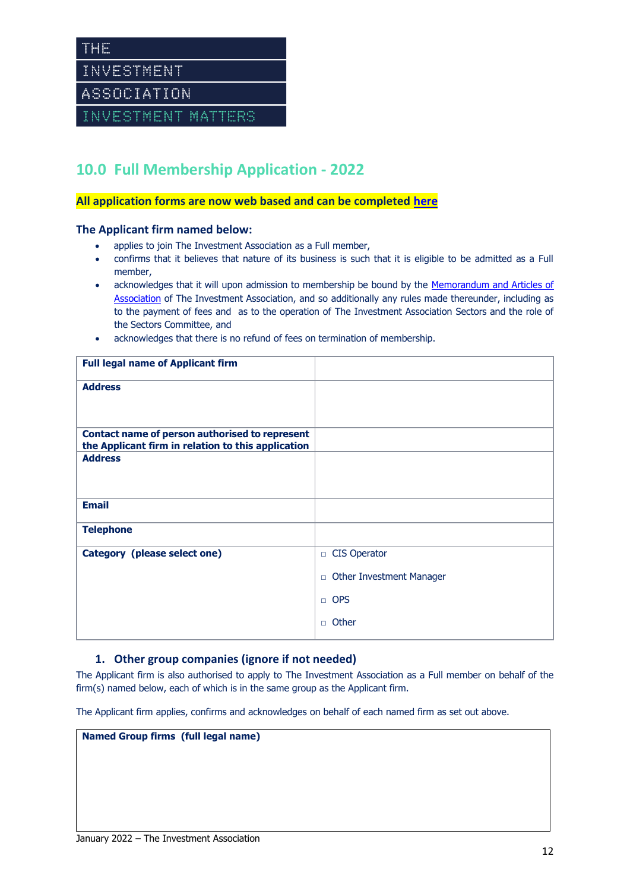THE INVESTMENT

ASSOCIATION

INVESTMENT MATTERS

## **10.0 Full Membership Application - 2022**

#### **All application forms are now web based and can be completed [here](https://www.theia.org/about-us/join-ia)**

#### **The Applicant firm named below:**

- applies to join The Investment Association as a Full member,
- confirms that it believes that nature of its business is such that it is eligible to be admitted as a Full member,
- acknowledges that it will upon admission to membership be bound by the Memorandum and Articles of [Association](https://www.theia.org/sites/default/files/2019-04/20190426-articlesofassociation.pdf) of The Investment Association, and so additionally any rules made thereunder, including as to the payment of fees and as to the operation of The Investment Association Sectors and the role of the Sectors Committee, and
- acknowledges that there is no refund of fees on termination of membership.

| <b>Full legal name of Applicant firm</b>                                                                    |                                           |
|-------------------------------------------------------------------------------------------------------------|-------------------------------------------|
| <b>Address</b>                                                                                              |                                           |
|                                                                                                             |                                           |
| <b>Contact name of person authorised to represent</b><br>the Applicant firm in relation to this application |                                           |
| <b>Address</b>                                                                                              |                                           |
|                                                                                                             |                                           |
| <b>Email</b>                                                                                                |                                           |
| <b>Telephone</b>                                                                                            |                                           |
| Category (please select one)                                                                                | □ CIS Operator                            |
|                                                                                                             | <b>Other Investment Manager</b><br>$\Box$ |
|                                                                                                             | $\Box$ OPS                                |
|                                                                                                             | $\Box$ Other                              |

#### **1. Other group companies (ignore if not needed)**

The Applicant firm is also authorised to apply to The Investment Association as a Full member on behalf of the firm(s) named below, each of which is in the same group as the Applicant firm.

The Applicant firm applies, confirms and acknowledges on behalf of each named firm as set out above.

**Named Group firms (full legal name)**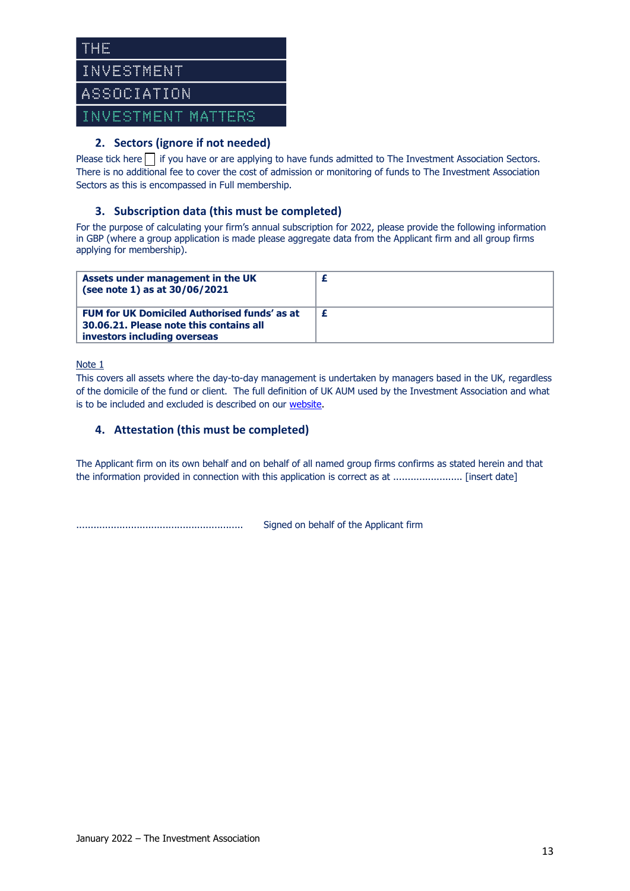

### **2. Sectors (ignore if not needed)**

Please tick here  $\Box$  if you have or are applying to have funds admitted to The Investment Association Sectors. There is no additional fee to cover the cost of admission or monitoring of funds to The Investment Association Sectors as this is encompassed in Full membership.

### **3. Subscription data (this must be completed)**

For the purpose of calculating your firm's annual subscription for 2022, please provide the following information in GBP (where a group application is made please aggregate data from the Applicant firm and all group firms applying for membership).

| Assets under management in the UK<br>(see note 1) as at 30/06/2021                                                             |   |
|--------------------------------------------------------------------------------------------------------------------------------|---|
| <b>FUM for UK Domiciled Authorised funds' as at</b><br>30.06.21. Please note this contains all<br>investors including overseas | £ |

Note 1

This covers all assets where the day-to-day management is undertaken by managers based in the UK, regardless of the domicile of the fund or client. The full definition of UK AUM used by the Investment Association and what is to be included and excluded is described on our [website.](https://www.theia.org/industry-policy/research/investment-management-survey)

#### **4. Attestation (this must be completed)**

The Applicant firm on its own behalf and on behalf of all named group firms confirms as stated herein and that the information provided in connection with this application is correct as at ........................ [insert date]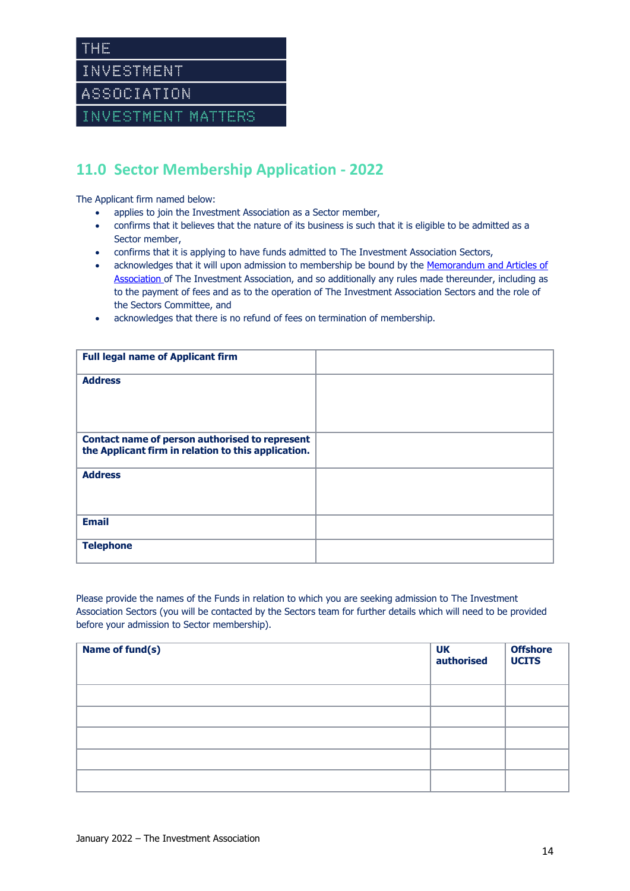# **11.0 Sector Membership Application - 2022**

The Applicant firm named below:

- applies to join the Investment Association as a Sector member,
- confirms that it believes that the nature of its business is such that it is eligible to be admitted as a Sector member,
- confirms that it is applying to have funds admitted to The Investment Association Sectors,
- acknowledges that it will upon admission to membership be bound by the Memorandum and Articles of [Association o](https://www.theia.org/sites/default/files/2019-04/20190426-articlesofassociation.pdf)f The Investment Association, and so additionally any rules made thereunder, including as to the payment of fees and as to the operation of The Investment Association Sectors and the role of the Sectors Committee, and
- acknowledges that there is no refund of fees on termination of membership.

| <b>Full legal name of Applicant firm</b>                                                              |  |
|-------------------------------------------------------------------------------------------------------|--|
| <b>Address</b>                                                                                        |  |
|                                                                                                       |  |
|                                                                                                       |  |
| Contact name of person authorised to represent<br>the Applicant firm in relation to this application. |  |
| <b>Address</b>                                                                                        |  |
|                                                                                                       |  |
|                                                                                                       |  |
| <b>Email</b>                                                                                          |  |
| <b>Telephone</b>                                                                                      |  |
|                                                                                                       |  |

Please provide the names of the Funds in relation to which you are seeking admission to The Investment Association Sectors (you will be contacted by the Sectors team for further details which will need to be provided before your admission to Sector membership).

| Name of fund(s) | <b>UK</b><br>authorised | <b>Offshore</b><br><b>UCITS</b> |
|-----------------|-------------------------|---------------------------------|
|                 |                         |                                 |
|                 |                         |                                 |
|                 |                         |                                 |
|                 |                         |                                 |
|                 |                         |                                 |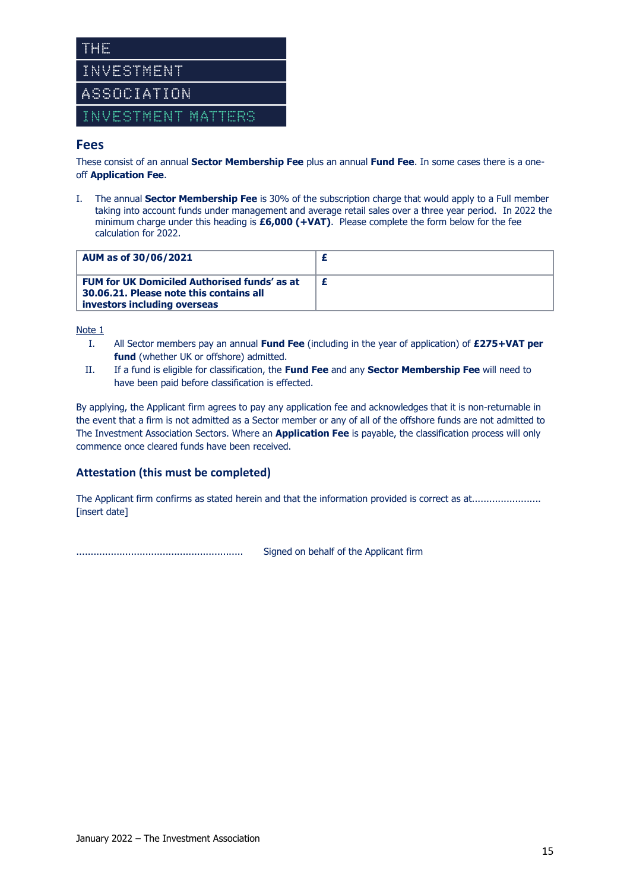

### **Fees**

These consist of an annual **Sector Membership Fee** plus an annual **Fund Fee**. In some cases there is a oneoff **Application Fee**.

I. The annual **Sector Membership Fee** is 30% of the subscription charge that would apply to a Full member taking into account funds under management and average retail sales over a three year period. In 2022 the minimum charge under this heading is **£6,000 (+VAT)**. Please complete the form below for the fee calculation for 2022.

| AUM as of 30/06/2021                                                                                                           |  |
|--------------------------------------------------------------------------------------------------------------------------------|--|
| <b>FUM for UK Domiciled Authorised funds' as at</b><br>30.06.21. Please note this contains all<br>investors including overseas |  |

Note 1

- I. All Sector members pay an annual **Fund Fee** (including in the year of application) of **£275+VAT per**  fund (whether UK or offshore) admitted.
- II. If a fund is eligible for classification, the **Fund Fee** and any **Sector Membership Fee** will need to have been paid before classification is effected.

By applying, the Applicant firm agrees to pay any application fee and acknowledges that it is non-returnable in the event that a firm is not admitted as a Sector member or any of all of the offshore funds are not admitted to The Investment Association Sectors. Where an **Application Fee** is payable, the classification process will only commence once cleared funds have been received.

### **Attestation (this must be completed)**

The Applicant firm confirms as stated herein and that the information provided is correct as at........................ [insert date]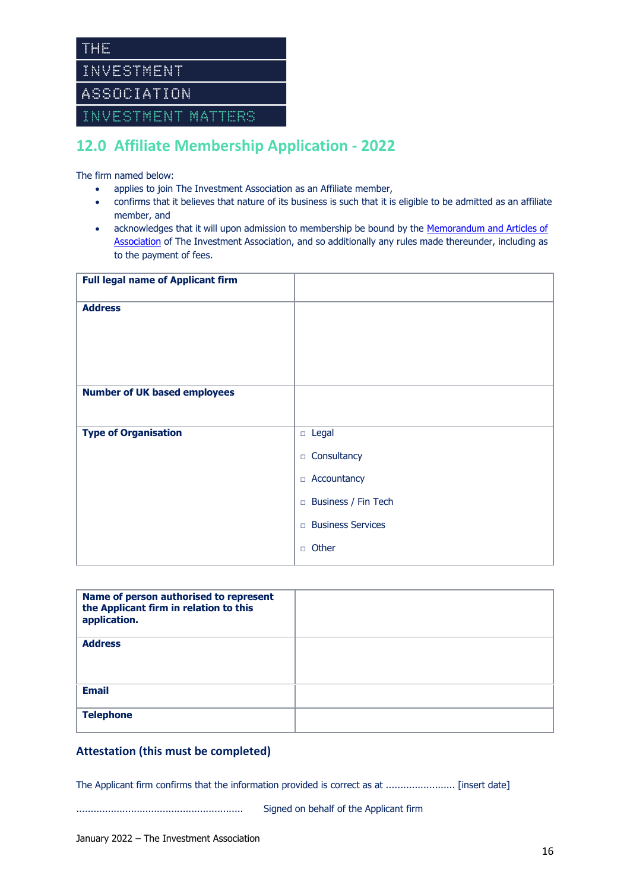# **12.0 Affiliate Membership Application - 2022**

The firm named below:

- applies to join The Investment Association as an Affiliate member,
- confirms that it believes that nature of its business is such that it is eligible to be admitted as an affiliate member, and
- acknowledges that it will upon admission to membership be bound by the [Memorandum and Articles of](https://www.theia.org/sites/default/files/2019-04/20190426-articlesofassociation.pdf)  [Association](https://www.theia.org/sites/default/files/2019-04/20190426-articlesofassociation.pdf) of The Investment Association, and so additionally any rules made thereunder, including as to the payment of fees.

| <b>Full legal name of Applicant firm</b> |                                    |
|------------------------------------------|------------------------------------|
| <b>Address</b>                           |                                    |
|                                          |                                    |
|                                          |                                    |
| <b>Number of UK based employees</b>      |                                    |
|                                          |                                    |
| <b>Type of Organisation</b>              | $\Box$ Legal                       |
|                                          | Consultancy<br>$\Box$              |
|                                          | Accountancy<br>$\Box$              |
|                                          | Business / Fin Tech<br>$\Box$      |
|                                          | <b>Business Services</b><br>$\Box$ |
|                                          | Other<br>$\Box$                    |

| Name of person authorised to represent<br>the Applicant firm in relation to this<br>application. |  |
|--------------------------------------------------------------------------------------------------|--|
| <b>Address</b>                                                                                   |  |
| <b>Email</b>                                                                                     |  |
| <b>Telephone</b>                                                                                 |  |

#### **Attestation (this must be completed)**

The Applicant firm confirms that the information provided is correct as at ........................ [insert date]